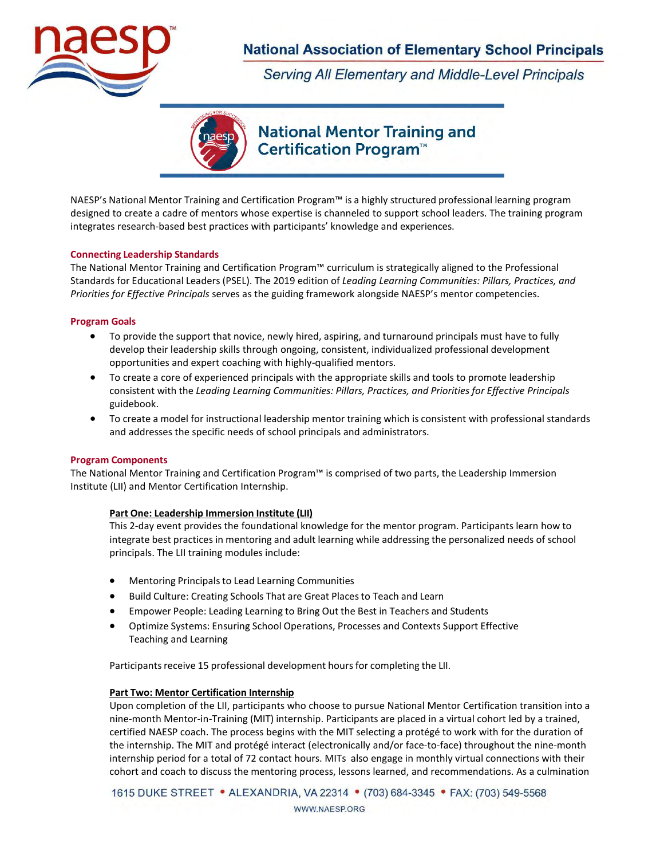

Serving All Elementary and Middle-Level Principals



# **National Mentor Training and** Certification Program<sup>™</sup>

NAESP's National Mentor Training and Certification Program™ is a highly structured professional learning program designed to create a cadre of mentors whose expertise is channeled to support school leaders. The training program integrates research-based best practices with participants' knowledge and experiences.

#### **Connecting Leadership Standards**

The National Mentor Training and Certification Program™ curriculum is strategically aligned to the Professional Standards for Educational Leaders (PSEL). The 2019 edition of *Leading Learning Communities: Pillars, Practices, and Priorities for Effective Principals* serves as the guiding framework alongside NAESP's mentor competencies.

#### **Program Goals**

- To provide the support that novice, newly hired, aspiring, and turnaround principals must have to fully develop their leadership skills through ongoing, consistent, individualized professional development opportunities and expert coaching with highly-qualified mentors.
- To create a core of experienced principals with the appropriate skills and tools to promote leadership consistent with the *Leading Learning Communities: Pillars, Practices, and Priorities for Effective Principals*  guidebook.
- To create a model for instructional leadership mentor training which is consistent with professional standards and addresses the specific needs of school principals and administrators.

#### **Program Components**

The National Mentor Training and Certification Program™ is comprised of two parts, the Leadership Immersion Institute (LII) and Mentor Certification Internship.

#### **Part One: Leadership Immersion Institute (LII)**

This 2-day event provides the foundational knowledge for the mentor program. Participants learn how to integrate best practices in mentoring and adult learning while addressing the personalized needs of school principals. The LII training modules include:

- Mentoring Principalsto Lead Learning Communities
- Build Culture: Creating Schools That are Great Places to Teach and Learn
- Empower People: Leading Learning to Bring Out the Best in Teachers and Students
- Optimize Systems: Ensuring School Operations, Processes and Contexts Support Effective Teaching and Learning

Participants receive 15 professional development hours for completing the LII.

#### **Part Two: Mentor Certification Internship**

Upon completion of the LII, participants who choose to pursue National Mentor Certification transition into a nine-month Mentor-in-Training (MIT) internship. Participants are placed in a virtual cohort led by a trained, certified NAESP coach. The process begins with the MIT selecting a protégé to work with for the duration of the internship. The MIT and protégé interact (electronically and/or face-to-face) throughout the nine-month internship period for a total of 72 contact hours. MITs also engage in monthly virtual connections with their cohort and coach to discuss the mentoring process, lessons learned, and recommendations. As a culmination

1615 DUKE STREET • ALEXANDRIA, VA 22314 • (703) 684-3345 • FAX: (703) 549-5568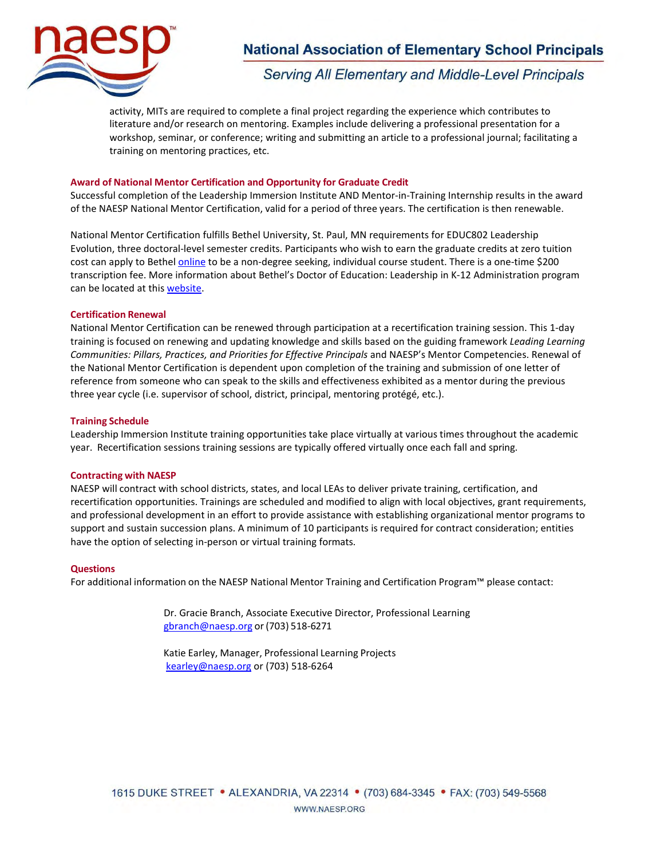

**Serving All Elementary and Middle-Level Principals** 

activity, MITs are required to complete a final project regarding the experience which contributes to literature and/or research on mentoring. Examples include delivering a professional presentation for a workshop, seminar, or conference; writing and submitting an article to a professional journal; facilitating a training on mentoring practices, etc.

#### **Award of National Mentor Certification and Opportunity for Graduate Credit**

Successful completion of the Leadership Immersion Institute AND Mentor-in-Training Internship results in the award of the NAESP National Mentor Certification, valid for a period of three years. The certification is then renewable.

National Mentor Certification fulfills Bethel University, St. Paul, MN requirements for EDUC802 Leadership Evolution, three doctoral-level semester credits. Participants who wish to earn the graduate credits at zero tuition cost can apply to Bethe[l online](https://www.bethel.edu/graduate/academics/individual-courses/apply) to be a non-degree seeking, individual course student. There is a one-time \$200 transcription fee. More information about Bethel's Doctor of Education: Leadership in K-12 Administration program can be located at this [website.](https://623761e8b7b04.site123.me/)

#### **Certification Renewal**

National Mentor Certification can be renewed through participation at a recertification training session. This 1-day training is focused on renewing and updating knowledge and skills based on the guiding framework *Leading Learning Communities: Pillars, Practices, and Priorities for Effective Principals* and NAESP's Mentor Competencies. Renewal of the National Mentor Certification is dependent upon completion of the training and submission of one letter of reference from someone who can speak to the skills and effectiveness exhibited as a mentor during the previous three year cycle (i.e. supervisor of school, district, principal, mentoring protégé, etc.).

#### **Training Schedule**

Leadership Immersion Institute training opportunities take place virtually at various times throughout the academic year. Recertification sessions training sessions are typically offered virtually once each fall and spring.

#### **Contracting with NAESP**

NAESP will contract with school districts, states, and local LEAs to deliver private training, certification, and recertification opportunities. Trainings are scheduled and modified to align with local objectives, grant requirements, and professional development in an effort to provide assistance with establishing organizational mentor programs to support and sustain succession plans. A minimum of 10 participants is required for contract consideration; entities have the option of selecting in-person or virtual training formats.

#### **Questions**

For additional information on the NAESP National Mentor Training and Certification Program™ please contact:

Dr. Gracie Branch, Associate Executive Director, Professional [Learning](mailto:gbranch@naesp.org) [gbranch@naesp.org](mailto:gbranch@naesp.org) or(703) 518-6271

Katie Earley, Manager, Professional Learning Projects [kearley@naesp.org](mailto:kearley@naesp.org) or (703) 518-6264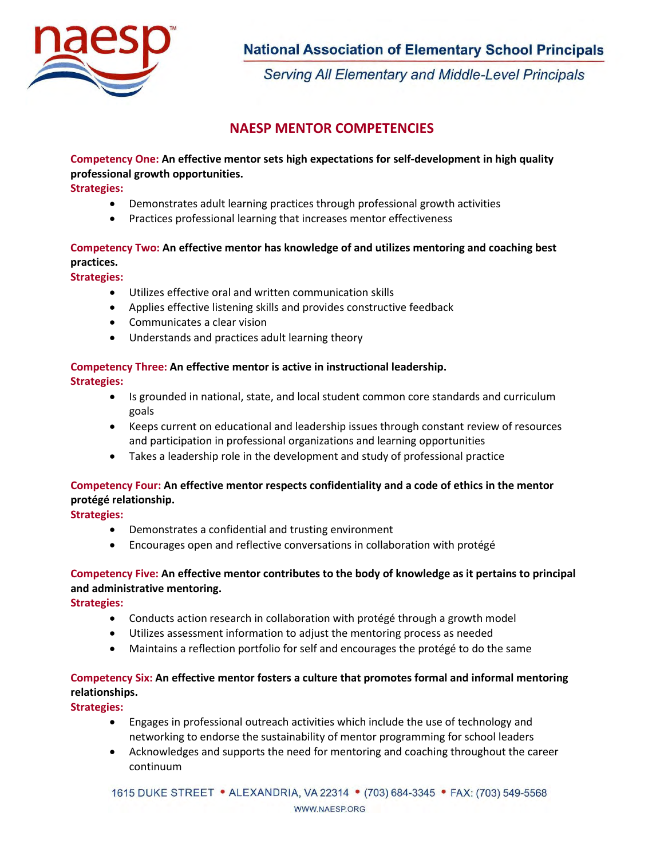

Serving All Elementary and Middle-Level Principals

## **NAESP MENTOR COMPETENCIES**

## **Competency One: An effective mentor sets high expectations for self-development in high quality professional growth opportunities.**

**Strategies:**

- Demonstrates adult learning practices through professional growth activities
- Practices professional learning that increases mentor effectiveness

## **Competency Two: An effective mentor has knowledge of and utilizes mentoring and coaching best practices.**

**Strategies:**

- Utilizes effective oral and written communication skills
- Applies effective listening skills and provides constructive feedback
- Communicates a clear vision
- Understands and practices adult learning theory

# **Competency Three: An effective mentor is active in instructional leadership.**

**Strategies:**

- Is grounded in national, state, and local student common core standards and curriculum goals
- Keeps current on educational and leadership issues through constant review of resources and participation in professional organizations and learning opportunities
- Takes a leadership role in the development and study of professional practice

### **Competency Four: An effective mentor respects confidentiality and a code of ethics in the mentor protégé relationship.**

**Strategies:**

- Demonstrates a confidential and trusting environment
- Encourages open and reflective conversations in collaboration with protégé

## **Competency Five: An effective mentor contributes to the body of knowledge as it pertains to principal and administrative mentoring.**

**Strategies:**

- Conducts action research in collaboration with protégé through a growth model
- Utilizes assessment information to adjust the mentoring process as needed
- Maintains a reflection portfolio for self and encourages the protégé to do the same

## **Competency Six: An effective mentor fosters a culture that promotes formal and informal mentoring relationships.**

**Strategies:**

- Engages in professional outreach activities which include the use of technology and networking to endorse the sustainability of mentor programming for school leaders
- Acknowledges and supports the need for mentoring and coaching throughout the career continuum